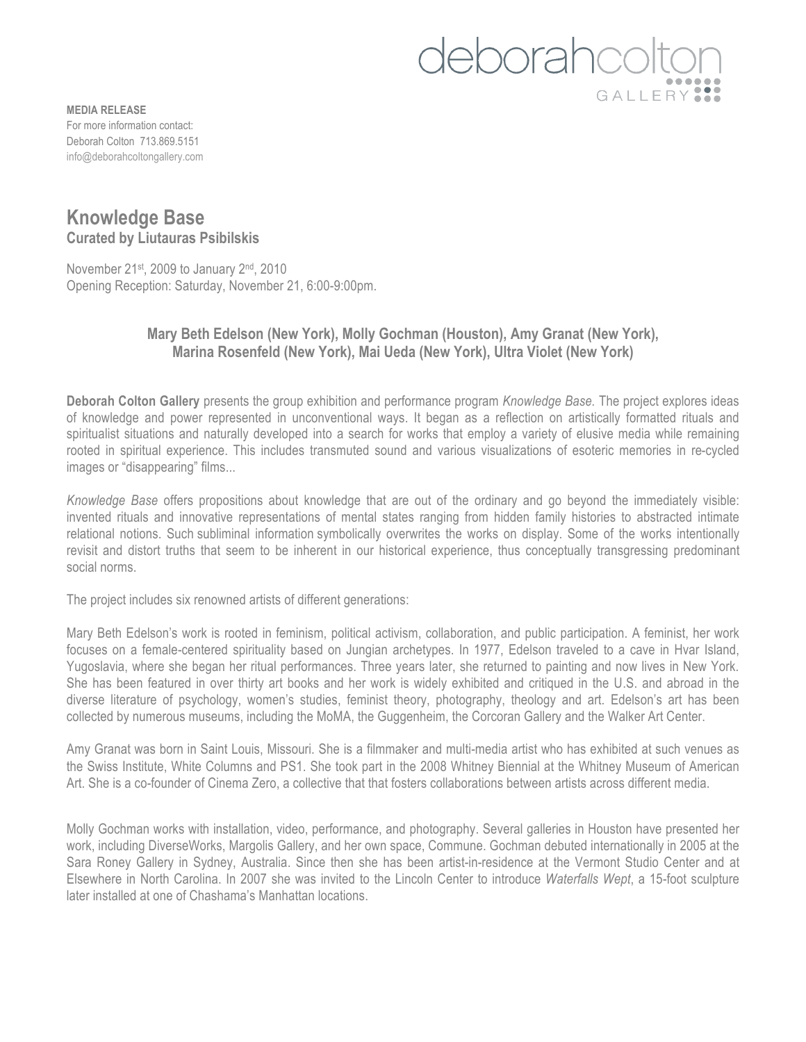## deborahcolt GALLERY<sup>22</sup>

**MEDIA RELEASE** For more information contact: Deborah Colton 713.869.5151 info@deborahcoltongallery.com

## **Knowledge Base Curated by Liutauras Psibilskis**

November 21<sup>st</sup>, 2009 to January 2<sup>nd</sup>, 2010 Opening Reception: Saturday, November 21, 6:00-9:00pm.

## **Mary Beth Edelson (New York), Molly Gochman (Houston), Amy Granat (New York), Marina Rosenfeld (New York), Mai Ueda (New York), Ultra Violet (New York)**

**Deborah Colton Gallery** presents the group exhibition and performance program *Knowledge Base.* The project explores ideas of knowledge and power represented in unconventional ways. It began as a reflection on artistically formatted rituals and spiritualist situations and naturally developed into a search for works that employ a variety of elusive media while remaining rooted in spiritual experience. This includes transmuted sound and various visualizations of esoteric memories in re-cycled images or "disappearing" films...

*Knowledge Base* offers propositions about knowledge that are out of the ordinary and go beyond the immediately visible: invented rituals and innovative representations of mental states ranging from hidden family histories to abstracted intimate relational notions. Such subliminal information symbolically overwrites the works on display. Some of the works intentionally revisit and distort truths that seem to be inherent in our historical experience, thus conceptually transgressing predominant social norms.

The project includes six renowned artists of different generations:

Mary Beth Edelson's work is rooted in feminism, political activism, collaboration, and public participation. A feminist, her work focuses on a female-centered spirituality based on Jungian archetypes. In 1977, Edelson traveled to a cave in Hvar Island, Yugoslavia, where she began her ritual performances. Three years later, she returned to painting and now lives in New York. She has been featured in over thirty art books and her work is widely exhibited and critiqued in the U.S. and abroad in the diverse literature of psychology, women's studies, feminist theory, photography, theology and art. Edelson's art has been collected by numerous museums, including the MoMA, the Guggenheim, the Corcoran Gallery and the Walker Art Center.

Amy Granat was born in Saint Louis, Missouri. She is a filmmaker and multi-media artist who has exhibited at such venues as the Swiss Institute, White Columns and PS1. She took part in the 2008 Whitney Biennial at the Whitney Museum of American Art. She is a co-founder of Cinema Zero, a collective that that fosters collaborations between artists across different media.

Molly Gochman works with installation, video, performance, and photography. Several galleries in Houston have presented her work, including DiverseWorks, Margolis Gallery, and her own space, Commune. Gochman debuted internationally in 2005 at the Sara Roney Gallery in Sydney, Australia. Since then she has been artist-in-residence at the Vermont Studio Center and at Elsewhere in North Carolina. In 2007 she was invited to the Lincoln Center to introduce *Waterfalls Wept*, a 15-foot sculpture later installed at one of Chashama's Manhattan locations.